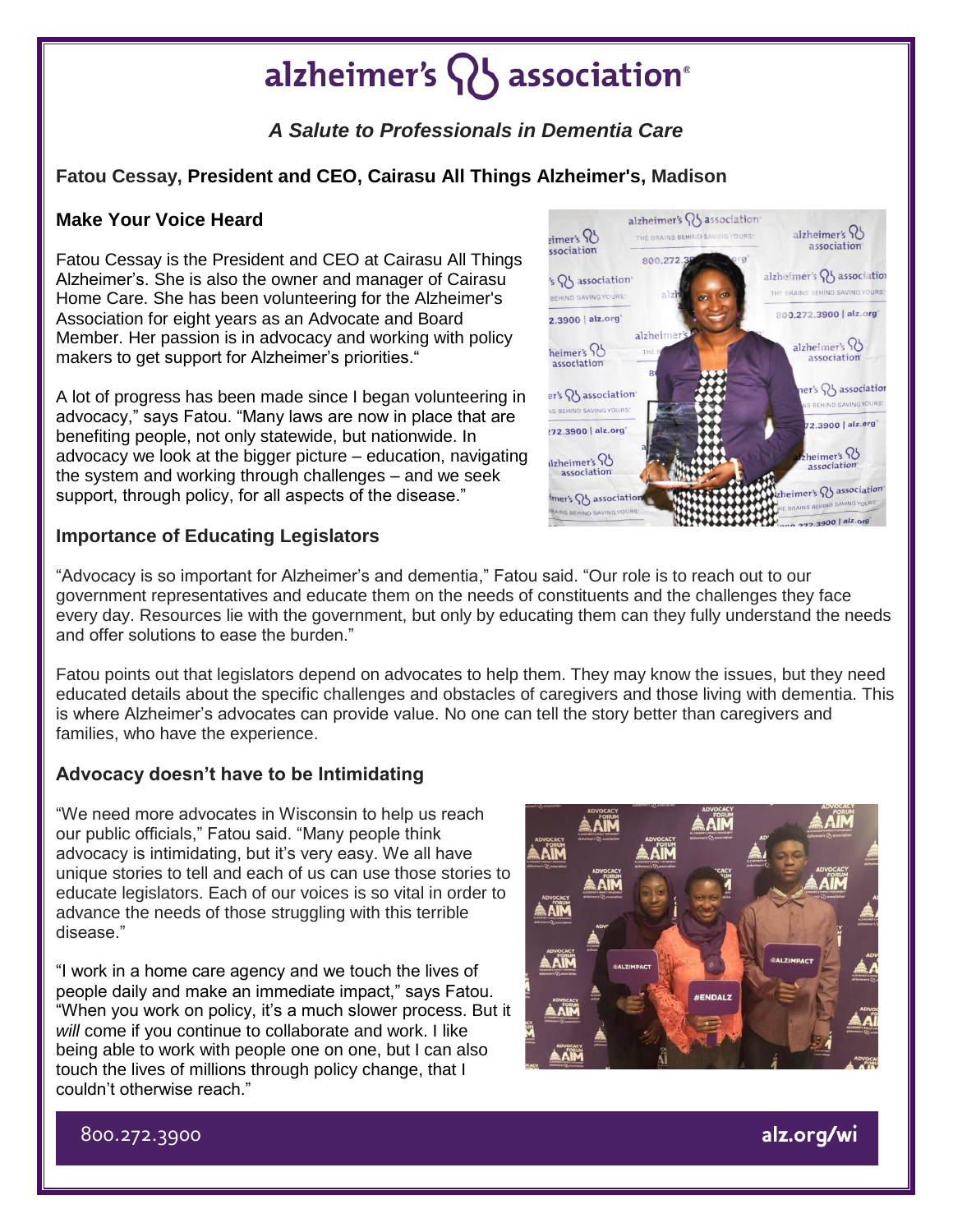# alzheimer's  $\{ \}$  association<sup>®</sup>

## *A Salute to Professionals in Dementia Care*

### **Fatou Cessay, President and CEO, Cairasu All Things Alzheimer's, Madison**

#### **Make Your Voice Heard**

Fatou Cessay is the President and CEO at Cairasu All Things Alzheimer's. She is also the owner and manager of Cairasu Home Care. She has been volunteering for the Alzheimer's Association for eight years as an Advocate and Board Member. Her passion is in advocacy and working with policy makers to get support for Alzheimer's priorities."

A lot of progress has been made since I began volunteering in advocacy," says Fatou. "Many laws are now in place that are benefiting people, not only statewide, but nationwide. In advocacy we look at the bigger picture – education, navigating the system and working through challenges – and we seek support, through policy, for all aspects of the disease."

#### **Importance of Educating Legislators**

"Advocacy is so important for Alzheimer's and dementia," Fatou said. "Our role is to reach out to our government representatives and educate them on the needs of constituents and the challenges they face every day. Resources lie with the government, but only by educating them can they fully understand the needs and offer solutions to ease the burden."

Fatou points out that legislators depend on advocates to help them. They may know the issues, but they need educated details about the specific challenges and obstacles of caregivers and those living with dementia. This is where Alzheimer's advocates can provide value. No one can tell the story better than caregivers and families, who have the experience.

### **Advocacy doesn't have to be Intimidating**

"We need more advocates in Wisconsin to help us reach our public officials," Fatou said. "Many people think advocacy is intimidating, but it's very easy. We all have unique stories to tell and each of us can use those stories to educate legislators. Each of our voices is so vital in order to advance the needs of those struggling with this terrible disease."

"I work in a home care agency and we touch the lives of people daily and make an immediate impact," says Fatou. "When you work on policy, it's a much slower process. But it *will* come if you continue to collaborate and work. I like being able to work with people one on one, but I can also touch the lives of millions through policy change, that I couldn't otherwise reach."



alzheimer's Q  $\frac{1}{2}$ imer's  $\frac{1}{2}$ THE BRAINS BEHIND SAVING YOURS: association ssociation 800.272 alzheimer's QJ association 's Q' association' THE BRAINS BEHIND SAVING YOURS: BEHIND SAVING YOURS: 800.272.3900 | alz.org\* 2.3900 | alz.org alzheime alzheimer's 8 heimer's 2 association association  $\text{ner's } \bigotimes$  associatior er's **W** association S BEHIND SAVING YOURS NS BEHIND SAVING YOURS **22 3900 | alz.org** 272.3900 | alz.org  $h$ eimer's  $\Omega$ dzheimer's 98 association association zheimer's Q association imer's  $Q_5$  association **BRAINS BEHIL** 00 272.3900 | alz.or

alzheimer's Q association

800.272.3900